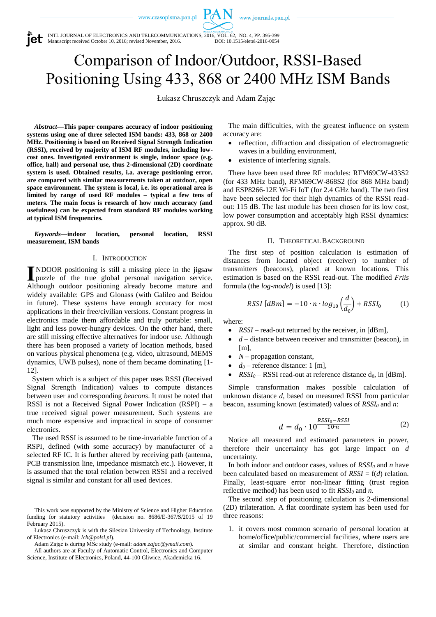www.czasopisma.pan.pl

www.journals.pan.pl

INTL JOURNAL OF ELECTRONICS AND TELECOMMUNICATIONS, 2016, VOL. 62, NO. 4, PP. 395-399 Manuscript received October 10, 2016; revised November, 2016. DOI: 10.1515/eletel-2016-0054

# Comparison of Indoor/Outdoor, RSSI-Based Positioning Using 433, 868 or 2400 MHz ISM Bands

Łukasz Chruszczyk and Adam Zając

*Abstract***—This paper compares accuracy of indoor positioning systems using one of three selected ISM bands: 433, 868 or 2400 MHz. Positioning is based on Received Signal Strength Indication (RSSI), received by majority of ISM RF modules, including lowcost ones. Investigated environment is single, indoor space (e.g. office, hall) and personal use, thus 2-dimensional (2D) coordinate system is used. Obtained results, i.a. average positioning error, are compared with similar measurements taken at outdoor, open space environment. The system is local, i.e. its operational area is limited by range of used RF modules – typical a few tens of meters. The main focus is research of how much accuracy (and usefulness) can be expected from standard RF modules working at typical ISM frequencies.**

*Keywords***—indoor location, personal location, RSSI measurement, ISM bands**

#### I. INTRODUCTION

NDOOR positioning is still a missing piece in the jigsaw **I**NDOOR positioning is still a missing piece in the jigsaw<br>
and personal navigation service. Although outdoor positioning already become mature and widely available: GPS and Glonass (with Galileo and Beidou in future). These systems have enough accuracy for most applications in their free/civilian versions. Constant progress in electronics made them affordable and truly portable: small, light and less power-hungry devices. On the other hand, there are still missing effective alternatives for indoor use. Although there has been proposed a variety of location methods, based on various physical phenomena (e.g. video, ultrasound, MEMS dynamics, UWB pulses), none of them became dominating [1- 12].

System which is a subject of this paper uses RSSI (Received Signal Strength Indication) values to compute distances between user and corresponding *beacons*. It must be noted that RSSI is not a Received Signal Power Indication (RSPI) – a true received signal power measurement. Such systems are much more expensive and impractical in scope of consumer electronics.

The used RSSI is assumed to be time-invariable function of a RSPI, defined (with some accuracy) by manufacturer of a selected RF IC. It is further altered by receiving path (antenna, PCB transmission line, impedance mismatch etc.). However, it is assumed that the total relation between RSSI and a received signal is similar and constant for all used devices.

This work was supported by the Ministry of Science and Higher Education funding for statutory activities (decision no. 8686/E-367/S/2015 of 19 February 2015).

Łukasz Chruszczyk is with the Silesian University of Technology, Institute of Electronics (e-mail: *lch@polsl.pl*).

Adam Zając is during MSc study (e-mail: *adam.zajac@ymail.com*).

All authors are at Faculty of Automatic Control, Electronics and Computer Science, Institute of Electronics, Poland, 44-100 Gliwice, Akademicka 16.

The main difficulties, with the greatest influence on system accuracy are:

- reflection, diffraction and dissipation of electromagnetic waves in a building environment,
- existence of interfering signals.

There have been used three RF modules: RFM69CW-433S2 (for 433 MHz band), RFM69CW-868S2 (for 868 MHz band) and ESP8266-12E Wi-Fi IoT (for 2.4 GHz band). The two first have been selected for their high dynamics of the RSSI readout: 115 dB. The last module has been chosen for its low cost, low power consumption and acceptably high RSSI dynamics: approx. 90 dB.

### II. THEORETICAL BACKGROUND

The first step of position calculation is estimation of distances from located object (receiver) to number of transmitters (beacons), placed at known locations. This estimation is based on the RSSI read-out. The modified *Friis* formula (the *log-model*) is used [13]:

$$
RSSI [dBm] = -10 \cdot n \cdot log_{10} \left(\frac{d}{d_0}\right) + RSSI_0 \tag{1}
$$

where:

- *RSSI* read-out returned by the receiver, in [dBm],
- *d* distance between receiver and transmitter (beacon), in  $[m]$ ,
- *N* propagation constant,
- $d_0$  reference distance: 1 [m],
- $RSSI_0 RSSI$  read-out at reference distance  $d_0$ , in [dBm].

Simple transformation makes possible calculation of unknown distance *d*, based on measured RSSI from particular beacon, assuming known (estimated) values of *RSSI<sup>0</sup>* and *n*:

$$
d = d_0 \cdot 10^{\frac{RSSI_0 - RSSI}{10 \cdot n}}
$$
 (2)

Notice all measured and estimated parameters in power, therefore their uncertainty has got large impact on *d* uncertainty.

In both indoor and outdoor cases, values of *RSSI<sup>0</sup>* and *n* have been calculated based on measurement of *RSSI* = f(*d*) relation. Finally, least-square error non-linear fitting (trust region reflective method) has been used to fit *RSSI<sup>0</sup>* and *n*.

The second step of positioning calculation is 2-dimensional (2D) trilateration. A flat coordinate system has been used for three reasons:

1. it covers most common scenario of personal location at home/office/public/commercial facilities, where users are at similar and constant height. Therefore, distinction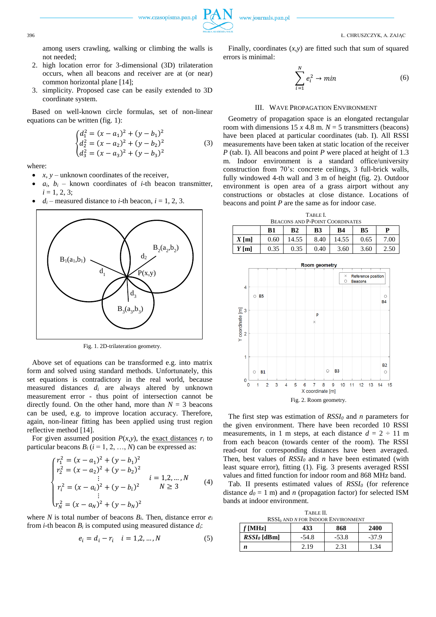among users crawling, walking or climbing the walls is not needed;

- 2. high location error for 3-dimensional (3D) trilateration occurs, when all beacons and receiver are at (or near) common horizontal plane [14];
- 3. simplicity. Proposed case can be easily extended to 3D coordinate system.

Based on well-known circle formulas, set of non-linear equations can be written (fig. 1):

$$
\begin{cases}\nd_1^2 = (x - a_1)^2 + (y - b_1)^2 \\
d_2^2 = (x - a_2)^2 + (y - b_2)^2 \\
d_3^2 = (x - a_3)^2 + (y - b_3)^2\n\end{cases} \tag{3}
$$

where:

- $x, y$  unknown coordinates of the receiver,
- $a_i$ ,  $b_i$  known coordinates of *i*-th beacon transmitter,  $i = 1, 2, 3;$
- $d_i$  measured distance to *i*-th beacon,  $i = 1, 2, 3$ .



Fig. 1. 2D-trilateration geometry.

Above set of equations can be transformed e.g. into matrix form and solved using standard methods. Unfortunately, this set equations is contradictory in the real world, because measured distances *d<sup>i</sup>* are always altered by unknown measurement error - thus point of intersection cannot be directly found. On the other hand, more than  $N = 3$  beacons can be used, e.g. to improve location accuracy. Therefore, again, non-linear fitting has been applied using trust region reflective method [14].

For given assumed position  $P(x, y)$ , the exact distances  $r_i$  to particular beacons  $B_i$  ( $i = 1, 2, ..., N$ ) can be expressed as:

$$
\begin{cases}\nr_1^2 = (x - a_1)^2 + (y - b_1)^2 \\
r_2^2 = (x - a_2)^2 + (y - b_2)^2 \\
\vdots \\
r_i^2 = (x - a_i)^2 + (y - b_i)^2 \\
\vdots \\
r_N^2 = (x - a_N)^2 + (y - b_N)^2\n\end{cases} \quad i = 1, 2, ..., N \quad (4)
$$

where *N* is total number of beacons  $B_i$ . Then, distance error  $e_i$ from *i*-th beacon  $B_i$  is computed using measured distance  $d_i$ :

$$
e_i = d_i - r_i \quad i = 1, 2, ..., N \tag{5}
$$

Finally, coordinates (*x*,*y*) are fitted such that sum of squared errors is minimal:

$$
\sum_{i=1}^{N} e_i^2 \to \min \tag{6}
$$

## III. WAVE PROPAGATION ENVIRONMENT

Geometry of propagation space is an elongated rectangular room with dimensions  $15 x 4.8$  m.  $N = 5$  transmitters (beacons) have been placed at particular coordinates (tab. I). All RSSI measurements have been taken at static location of the receiver *P* (tab. I). All beacons and point *P* were placed at height of 1.3 m. Indoor environment is a standard office/university construction from 70's: concrete ceilings, 3 full-brick walls, fully windowed 4-th wall and 3 m of height (fig. 2). Outdoor environment is open area of a grass airport without any constructions or obstacles at close distance. Locations of beacons and point *P* are the same as for indoor case.

| TABLE I.                             |  |
|--------------------------------------|--|
| EACONE AND <b>D</b> DOINT COODDIMATE |  |

| <b>BEACONS AND P-POINT COORDINATES</b> |      |       |      |       |      |      |
|----------------------------------------|------|-------|------|-------|------|------|
|                                        | B1   | B2    | B3   | B4    | B5   |      |
| $X$ [m]                                | 0.60 | 14.55 | 8.40 | 14.55 | 0.65 | 7.00 |
| $Y$ [m]                                | 0.35 | 0.35  | 0.40 | 3.60  | 3.60 | 2.50 |



The first step was estimation of *RSSI<sup>0</sup>* and *n* parameters for the given environment. There have been recorded 10 RSSI measurements, in 1 m steps, at each distance  $d = 2 \div 11$  m from each beacon (towards center of the room). The RSSI read-out for corresponding distances have been averaged. Then, best values of *RSSI<sup>0</sup>* and *n* have been estimated (with least square error), fitting (1). Fig. 3 presents averaged RSSI values and fitted function for indoor room and 868 MHz band.

Tab. II presents estimated values of *RSSI<sup>0</sup>* (for reference distance  $d_0 = 1$  m) and *n* (propagation factor) for selected ISM bands at indoor environment.

TABLE II.

| RSSI <sub>0</sub> AND N FOR INDOOR ENVIRONMENT |         |         |         |  |  |  |
|------------------------------------------------|---------|---------|---------|--|--|--|
| 2400<br>$f$ [MHz]<br>868<br>433                |         |         |         |  |  |  |
| $RSSI_{\theta}$ [dBm]                          | $-54.8$ | $-53.8$ | $-37.9$ |  |  |  |
| n                                              | 2.19    | 2.31    | 1.34    |  |  |  |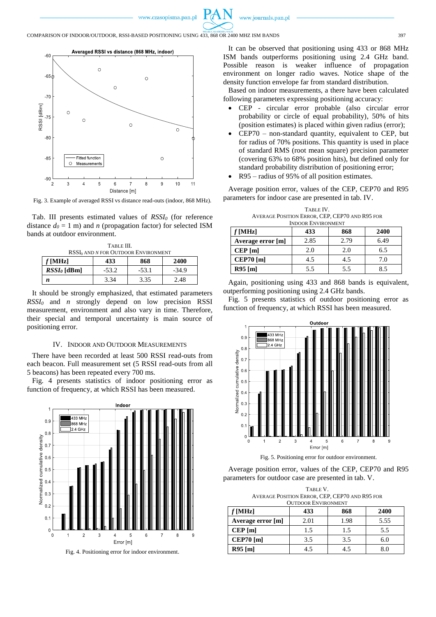



Fig. 3. Example of averaged RSSI vs distance read-outs (indoor, 868 MHz).

Tab. III presents estimated values of *RSSI<sup>0</sup>* (for reference distance  $d_0 = 1$  m) and *n* (propagation factor) for selected ISM bands at outdoor environment.

| TABLE III.                                      |         |         |         |  |  |
|-------------------------------------------------|---------|---------|---------|--|--|
| RSSI <sub>0</sub> AND N FOR OUTDOOR ENVIRONMENT |         |         |         |  |  |
| 868<br>2400<br>$f$ [MHz]<br>433                 |         |         |         |  |  |
| $RSSI0$ [dBm]                                   | $-53.2$ | $-53.1$ | $-34.9$ |  |  |
| n                                               | 3.34    | 3.35    | 2.48    |  |  |

It should be strongly emphasized, that estimated parameters *RSSI<sup>0</sup>* and *n* strongly depend on low precision RSSI measurement, environment and also vary in time. Therefore, their special and temporal uncertainty is main source of positioning error.

#### IV. INDOOR AND OUTDOOR MEASUREMENTS

There have been recorded at least 500 RSSI read-outs from each beacon. Full measurement set (5 RSSI read-outs from all 5 beacons) has been repeated every 700 ms.

Fig. 4 presents statistics of indoor positioning error as function of frequency, at which RSSI has been measured.



Fig. 4. Positioning error for indoor environment.

It can be observed that positioning using 433 or 868 MHz ISM bands outperforms positioning using 2.4 GHz band. Possible reason is weaker influence of propagation environment on longer radio waves. Notice shape of the density function envelope far from standard distribution.

Based on indoor measurements, a there have been calculated following parameters expressing positioning accuracy:

- CEP circular error probable (also circular error probability or circle of equal probability), 50% of hits (position estimates) is placed within given radius (error);
- CEP70 non-standard quantity, equivalent to CEP, but for radius of 70% positions. This quantity is used in place of standard RMS (root mean square) precision parameter (covering 63% to 68% position hits), but defined only for standard probability distribution of positioning error;
- R95 radius of 95% of all position estimates.

Average position error, values of the CEP, CEP70 and R95 parameters for indoor case are presented in tab. IV.

TABLE IV. AVERAGE POSITION ERROR, CEP, CEP70 AND R95 FOR INDOOR ENVIRONMENT

| <b>HADOON ENVIRONMENT</b> |      |      |      |  |  |
|---------------------------|------|------|------|--|--|
| $f$ [MHz]                 | 433  | 868  | 2400 |  |  |
| Average error [m]         | 2.85 | 2.79 | 6.49 |  |  |
| CEP[m]                    | 2.0  | 2.0  | 6.5  |  |  |
| $CEP70$ [m]               | 4.5  | 4.5  | 7.0  |  |  |
| $R95$ [m]                 | 5.5  | 5.5  | 8.5  |  |  |

Again, positioning using 433 and 868 bands is equivalent, outperforming positioning using 2.4 GHz bands.

Fig. 5 presents statistics of outdoor positioning error as function of frequency, at which RSSI has been measured.



Fig. 5. Positioning error for outdoor environment.

Average position error, values of the CEP, CEP70 and R95 parameters for outdoor case are presented in tab. V.

TABLE V. AVERAGE POSITION ERROR, CEP, CEP70 AND R95 FOR OUTDOOR ENVIRONMENT

| $f$ [MHz]         | 433  | 868  | 2400         |
|-------------------|------|------|--------------|
| Average error [m] | 2.01 | 1.98 | 5.55         |
| CEP[m]            | 1.5  | 1.5  | 5.5          |
| $CEP70$ [m]       | 3.5  | 3.5  | 6.0          |
| $R95$ [m]         | 4.5  | 4.5  | $_{\rm 8.0}$ |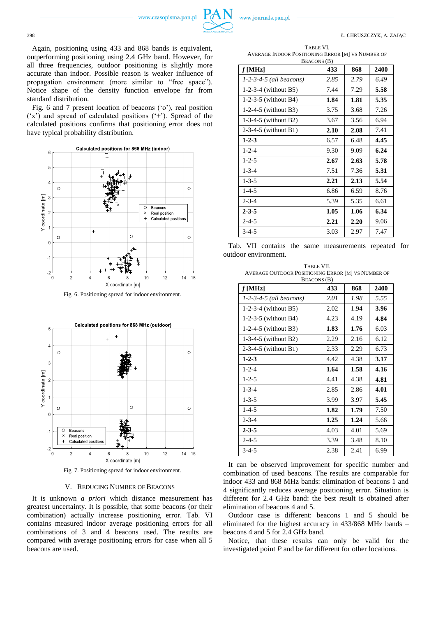www.czasopisma.pan.pl



398 Ł. CHRUSZCZYK, A. ZAJĄC

Again, positioning using 433 and 868 bands is equivalent, outperforming positioning using 2.4 GHz band. However, for all three frequencies, outdoor positioning is slightly more accurate than indoor. Possible reason is weaker influence of propagation environment (more similar to "free space"). Notice shape of the density function envelope far from standard distribution.

Fig. 6 and 7 present location of beacons ('o'), real position ('x') and spread of calculated positions ('+'). Spread of the calculated positions confirms that positioning error does not have typical probability distribution.



Fig. 6. Positioning spread for indoor environment.



Fig. 7. Positioning spread for indoor environment.

## V. REDUCING NUMBER OF BEACONS

It is unknown *a priori* which distance measurement has greatest uncertainty. It is possible, that some beacons (or their combination) actually increase positioning error. Tab. VI contains measured indoor average positioning errors for all combinations of 3 and 4 beacons used. The results are compared with average positioning errors for case when all 5 beacons are used.

TABLE VI. AVERAGE INDOOR POSITIONING ERROR [M] VS NUMBER OF

| $f$ [MHz]                 | 433  | 868  | 2400 |
|---------------------------|------|------|------|
| $1-2-3-4-5$ (all beacons) | 2.85 | 2.79 | 6.49 |
| 1-2-3-4 (without $B5$ )   | 7.44 | 7.29 | 5.58 |
| 1-2-3-5 (without $B4$ )   | 1.84 | 1.81 | 5.35 |
| 1-2-4-5 (without B3)      | 3.75 | 3.68 | 7.26 |
| 1-3-4-5 (without $B2$ )   | 3.67 | 3.56 | 6.94 |
| 2-3-4-5 (without B1)      | 2.10 | 2.08 | 7.41 |
| $1 - 2 - 3$               | 6.57 | 6.48 | 4.45 |
| $1 - 2 - 4$               | 9.30 | 9.09 | 6.24 |
| $1 - 2 - 5$               | 2.67 | 2.63 | 5.78 |
| $1 - 3 - 4$               | 7.51 | 7.36 | 5.31 |
| $1 - 3 - 5$               | 2.21 | 2.13 | 5.54 |
| $1 - 4 - 5$               | 6.86 | 6.59 | 8.76 |
| $2 - 3 - 4$               | 5.39 | 5.35 | 6.61 |
| $2 - 3 - 5$               | 1.05 | 1.06 | 6.34 |
| $2 - 4 - 5$               | 2.21 | 2.20 | 9.06 |
| $3 - 4 - 5$               | 3.03 | 2.97 | 7.47 |

Tab. VII contains the same measurements repeated for outdoor environment.

| TABLE VII.                                         |
|----------------------------------------------------|
| AVERAGE OUTDOOR POSITIONING ERROR [M] VS NUMBER OF |
| RFACONS (R)                                        |

| $f$ [MHz]                 | 433  | 868  | 2400 |
|---------------------------|------|------|------|
| $1-2-3-4-5$ (all beacons) | 2.01 | 1.98 | 5.55 |
| 1-2-3-4 (without $B5$ )   | 2.02 | 1.94 | 3.96 |
| 1-2-3-5 (without $B4$ )   | 4.23 | 4.19 | 4.84 |
| $1-2-4-5$ (without B3)    | 1.83 | 1.76 | 6.03 |
| 1-3-4-5 (without B2)      | 2.29 | 2.16 | 6.12 |
| 2-3-4-5 (without B1)      | 2.33 | 2.29 | 6.73 |
| $1 - 2 - 3$               | 4.42 | 4.38 | 3.17 |
| $1 - 2 - 4$               | 1.64 | 1.58 | 4.16 |
| $1 - 2 - 5$               | 4.41 | 4.38 | 4.81 |
| $1 - 3 - 4$               | 2.85 | 2.86 | 4.01 |
| $1 - 3 - 5$               | 3.99 | 3.97 | 5.45 |
| $1 - 4 - 5$               | 1.82 | 1.79 | 7.50 |
| $2 - 3 - 4$               | 1.25 | 1.24 | 5.66 |
| $2 - 3 - 5$               | 4.03 | 4.01 | 5.69 |
| $2 - 4 - 5$               | 3.39 | 3.48 | 8.10 |
| $3-4-5$                   | 2.38 | 2.41 | 6.99 |

It can be observed improvement for specific number and combination of used beacons. The results are comparable for indoor 433 and 868 MHz bands: elimination of beacons 1 and 4 significantly reduces average positioning error. Situation is different for 2.4 GHz band: the best result is obtained after elimination of beacons 4 and 5.

Outdoor case is different: beacons 1 and 5 should be eliminated for the highest accuracy in 433/868 MHz bands – beacons 4 and 5 for 2.4 GHz band.

Notice, that these results can only be valid for the investigated point *P* and be far different for other locations.